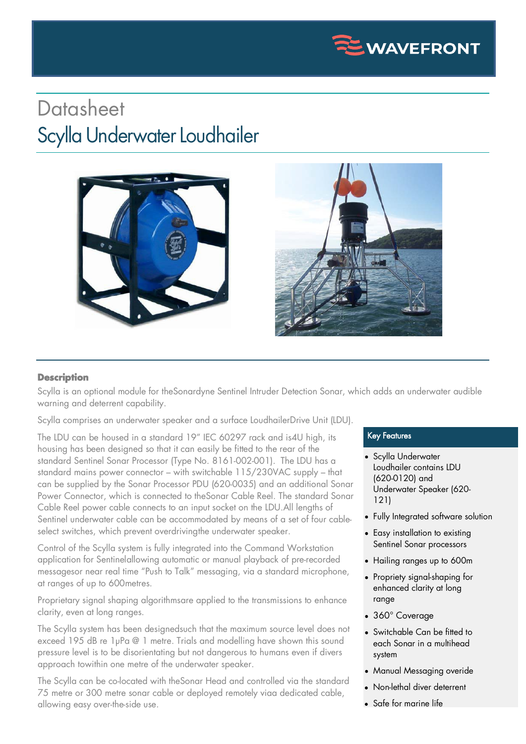

## **Datasheet** Scylla Underwater Loudhailer



## **Description**

Scylla is an optional module for theSonardyne Sentinel Intruder Detection Sonar, which adds an underwater audible warning and deterrent capability.

Scylla comprises an underwater speaker and a surface LoudhailerDrive Unit (LDU).

The LDU can be housed in a standard 19" IEC 60297 rack and is4U high, its housing has been designed so that it can easily be fitted to the rear of the standard Sentinel Sonar Processor (Type No. 8161-002-001). The LDU has a standard mains power connector – with switchable 115/230VAC supply – that can be supplied by the Sonar Processor PDU (620-0035) and an additional Sonar Power Connector, which is connected to theSonar Cable Reel. The standard Sonar Cable Reel power cable connects to an input socket on the LDU.All lengths of Sentinel underwater cable can be accommodated by means of a set of four cableselect switches, which prevent overdrivingthe underwater speaker.

Control of the Scylla system is fully integrated into the Command Workstation application for Sentinelallowing automatic or manual playback of pre-recorded messagesor near real time "Push to Talk" messaging, via a standard microphone, at ranges of up to 600metres.

Proprietary signal shaping algorithmsare applied to the transmissions to enhance clarity, even at long ranges.

The Scylla system has been designedsuch that the maximum source level does not exceed 195 dB re 1µPa @ 1 metre. Trials and modelling have shown this sound pressure level is to be disorientating but not dangerous to humans even if divers approach to within one metre of the underwater speaker.

The Scylla can be co-located with theSonar Head and controlled via the standard 75 metre or 300 metre sonar cable or deployed remotely viaa dedicated cable, allowing easy over-the-side use.

## Key Features

- Scylla Underwater Loudhailer contains LDU (620-0120) and Underwater Speaker (620- 121)
- Fully Integrated software solution
- Easy installation to existing Sentinel Sonar processors
- Hailing ranges up to 600m
- Propriety signal-shaping for enhanced clarity at long range
- 360° Coverage
- Switchable Can be fitted to each Sonar in a multihead system
- Manual Messaging overide
- Non-lethal diver deterrent
- Safe for marine life